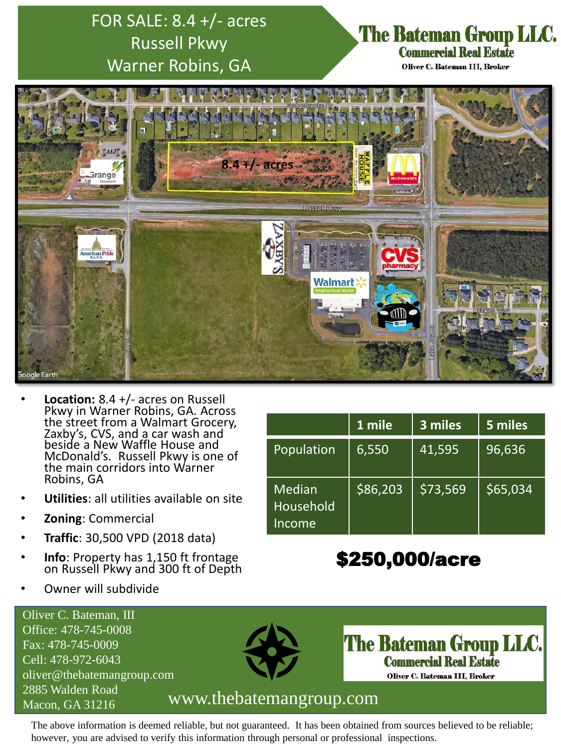# FOR SALE: 8.4 +/- acres Russell Pkwy Warner Robins, GA

### The Bateman Group LLC. **Commercial Real Estate**

Oliver C. Bateman III, Broker



- **Location:** 8.4 +/- acres on Russell Pkwy in Warner Robins, GA. Across the street from a Walmart Grocery, Zaxby's, CVS, and a car wash and beside a New Waffle House and McDonald's. Russell Pkwy is one of the main corridors into Warner Robins, GA
- **Utilities**: all utilities available on site
- **Zoning**: Commercial
- **Traffic**: 30,500 VPD (2018 data)
- **Info**: Property has 1,150 ft frontage on Russell Pkwy and 300 ft of Depth
- Owner will subdivide

|                               | 1 mile   | 3 miles  | 5 miles  |
|-------------------------------|----------|----------|----------|
| Population                    | 6,550    | 41,595   | 96,636   |
| Median<br>Household<br>Income | \$86,203 | \$73,569 | \$65,034 |

# \$250,000/acre

Oliver C. Bateman, III Office: 478-745-0008 Fax: 478-745-0009 Cell: 478-972-6043 oliver@thebatemangroup.com 2885 Walden Road



**The Bateman Group LLC. Commercial Real Estate** Oliver C. Bateman III, Broker

### Macon, GA 31216 www.thebatemangroup.com

The above information is deemed reliable, but not guaranteed. It has been obtained from sources believed to be reliable; however, you are advised to verify this information through personal or professional inspections.